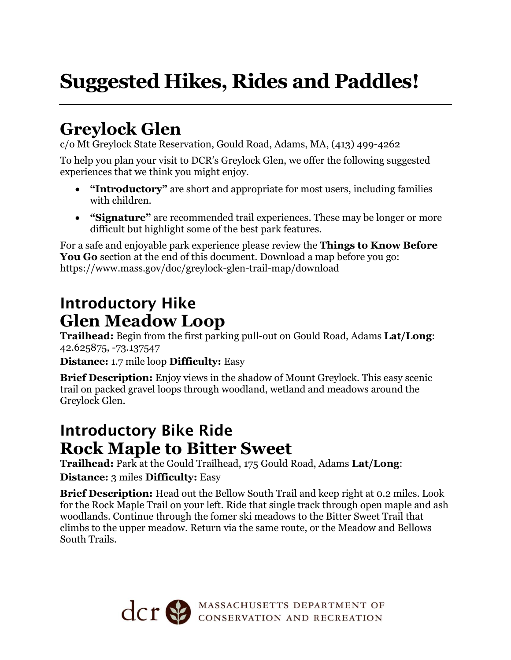# **Suggested Hikes, Rides and Paddles!**

## **Greylock Glen**

c/o Mt Greylock State Reservation, Gould Road, Adams, MA, (413) 499-4262

To help you plan your visit to DCR's Greylock Glen, we offer the following suggested experiences that we think you might enjoy.

- **"Introductory"** are short and appropriate for most users, including families with children.
- **"Signature"** are recommended trail experiences. These may be longer or more difficult but highlight some of the best park features.

For a safe and enjoyable park experience please review the **Things to Know Before You Go** section at the end of this document. Download a map before you go: https://www.mass.gov/doc/greylock-glen-trail-map/download

### Introductory Hike **Glen Meadow Loop**

**Trailhead:** Begin from the first parking pull-out on Gould Road, Adams **Lat/Long**: 42.625875, -73.137547

**Distance:** 1.7 mile loop **Difficulty:** Easy

**Brief Description:** Enjoy views in the shadow of Mount Greylock. This easy scenic trail on packed gravel loops through woodland, wetland and meadows around the Greylock Glen.

#### Introductory Bike Ride **Rock Maple to Bitter Sweet**

**Trailhead:** Park at the Gould Trailhead, 175 Gould Road, Adams **Lat/Long**:

**Distance:** 3 miles **Difficulty:** Easy

**Brief Description:** Head out the Bellow South Trail and keep right at 0.2 miles. Look for the Rock Maple Trail on your left. Ride that single track through open maple and ash woodlands. Continue through the fomer ski meadows to the Bitter Sweet Trail that climbs to the upper meadow. Return via the same route, or the Meadow and Bellows South Trails.

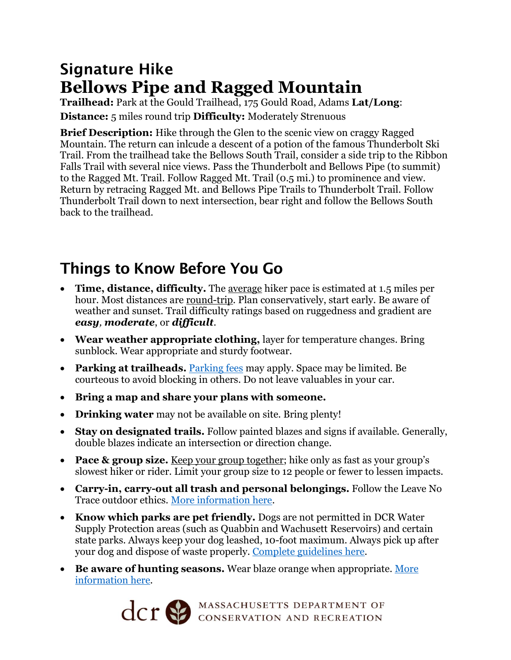## Signature Hike **Bellows Pipe and Ragged Mountain**

**Trailhead:** Park at the Gould Trailhead, 175 Gould Road, Adams **Lat/Long**: **Distance:** 5 miles round trip **Difficulty:** Moderately Strenuous

**Brief Description:** Hike through the Glen to the scenic view on craggy Ragged Mountain. The return can inlcude a descent of a potion of the famous Thunderbolt Ski Trail. From the trailhead take the Bellows South Trail, consider a side trip to the Ribbon Falls Trail with several nice views. Pass the Thunderbolt and Bellows Pipe (to summit) to the Ragged Mt. Trail. Follow Ragged Mt. Trail (0.5 mi.) to prominence and view. Return by retracing Ragged Mt. and Bellows Pipe Trails to Thunderbolt Trail. Follow Thunderbolt Trail down to next intersection, bear right and follow the Bellows South back to the trailhead.

#### Things to Know Before You Go

- **Time, distance, difficulty.** The average hiker pace is estimated at 1.5 miles per hour. Most distances are round-trip. Plan conservatively, start early. Be aware of weather and sunset. Trail difficulty ratings based on ruggedness and gradient are *easy, moderate*, or *difficult*.
- **Wear weather appropriate clothing,** layer for temperature changes. Bring sunblock. Wear appropriate and sturdy footwear.
- **Parking at trailheads.** [Parking fees](https://www.mass.gov/guides/parking-at-massachusetts-state-parks) may apply. Space may be limited. Be courteous to avoid blocking in others. Do not leave valuables in your car.
- **Bring a map and share your plans with someone.**
- **Drinking water** may not be available on site. Bring plenty!
- **Stay on designated trails.** Follow painted blazes and signs if available. Generally, double blazes indicate an intersection or direction change.
- **Pace & group size.** Keep your group together; hike only as fast as your group's slowest hiker or rider. Limit your group size to 12 people or fewer to lessen impacts.
- **Carry-in, carry-out all trash and personal belongings.** Follow the Leave No Trace outdoor ethics. [More information](https://lnt.org/why/7-principles/) here.
- **Know which parks are pet friendly.** Dogs are not permitted in DCR Water Supply Protection areas (such as Quabbin and Wachusett Reservoirs) and certain state parks. Always keep your dog leashed, 10-foot maximum. Always pick up after your dog and dispose of waste properly. [Complete guidelines](https://www.mass.gov/guides/dogs-in-dcr-parks) here.
- **Be aware of hunting seasons.** Wear blaze orange when appropriate. [More](https://www.mass.gov/hunting-regulations)  [information](https://www.mass.gov/hunting-regulations) here.